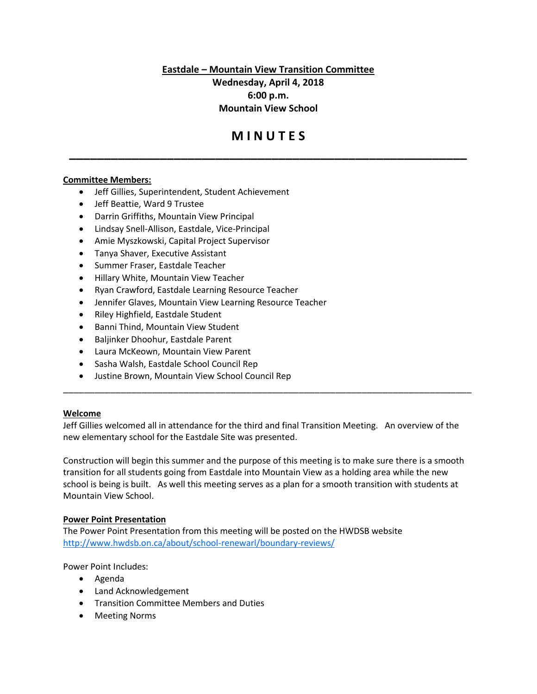**Eastdale – Mountain View Transition Committee**

**Wednesday, April 4, 2018 6:00 p.m. Mountain View School**

# **M I N U T E S**

**\_\_\_\_\_\_\_\_\_\_\_\_\_\_\_\_\_\_\_\_\_\_\_\_\_\_\_\_\_\_\_\_\_\_\_\_\_\_\_\_\_\_\_\_\_\_\_\_\_\_\_\_\_\_\_\_\_**

## **Committee Members:**

- Jeff Gillies, Superintendent, Student Achievement
- Jeff Beattie, Ward 9 Trustee
- Darrin Griffiths, Mountain View Principal
- Lindsay Snell-Allison, Eastdale, Vice-Principal
- Amie Myszkowski, Capital Project Supervisor
- Tanya Shaver, Executive Assistant
- Summer Fraser, Eastdale Teacher
- Hillary White, Mountain View Teacher
- Ryan Crawford, Eastdale Learning Resource Teacher
- Jennifer Glaves, Mountain View Learning Resource Teacher
- Riley Highfield, Eastdale Student
- Banni Thind, Mountain View Student
- Baljinker Dhoohur, Eastdale Parent
- Laura McKeown, Mountain View Parent
- Sasha Walsh, Eastdale School Council Rep
- Justine Brown, Mountain View School Council Rep

#### **Welcome**

Jeff Gillies welcomed all in attendance for the third and final Transition Meeting. An overview of the new elementary school for the Eastdale Site was presented.

\_\_\_\_\_\_\_\_\_\_\_\_\_\_\_\_\_\_\_\_\_\_\_\_\_\_\_\_\_\_\_\_\_\_\_\_\_\_\_\_\_\_\_\_\_\_\_\_\_\_\_\_\_\_\_\_\_\_\_\_\_\_\_\_\_\_\_\_\_\_\_\_\_\_\_\_\_\_

Construction will begin this summer and the purpose of this meeting is to make sure there is a smooth transition for all students going from Eastdale into Mountain View as a holding area while the new school is being is built. As well this meeting serves as a plan for a smooth transition with students at Mountain View School.

#### **Power Point Presentation**

The Power Point Presentation from this meeting will be posted on the HWDSB website http://www.hwdsb.on.ca/about/school-renewarl/boundary-reviews/

Power Point Includes:

- Agenda
- Land Acknowledgement
- Transition Committee Members and Duties
- Meeting Norms